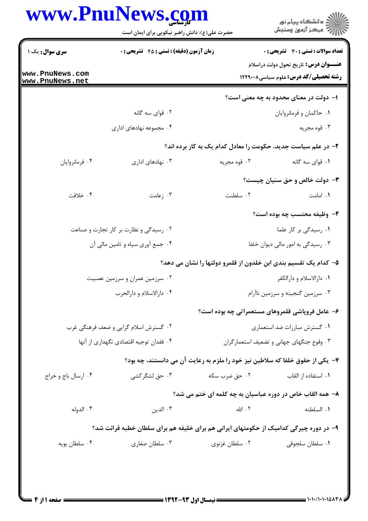|                                                                                 | www.PnuNews.com<br>حضرت علی(ع): دانش راهبر نیکویی برای ایمان است                      |                                                                                | ِ<br>∭ دانشڪاه پيام نور<br>∭ مرڪز آزمون وسنڊش                                         |
|---------------------------------------------------------------------------------|---------------------------------------------------------------------------------------|--------------------------------------------------------------------------------|---------------------------------------------------------------------------------------|
| سری سوال: یک ۱<br>www.PnuNews.com                                               | زمان آزمون (دقیقه) : تستی : 45 آتشریحی : 0                                            |                                                                                | تعداد سوالات : تستى : 30 ٪ تشريحي : 0<br><b>عنـــوان درس:</b> تاریخ تحول دولت دراسلام |
| www.PnuNews.net                                                                 |                                                                                       |                                                                                | رشته تحصیلی/کد درس: علوم سیاسی ۱۲۲۹۰۰۸                                                |
|                                                                                 |                                                                                       |                                                                                | ۱– دولت در معنای محدود به چه معنی است؟                                                |
|                                                                                 | ۰۲ قوای سه گانه                                                                       |                                                                                | ٠١ حاكمان و فرمانروايان                                                               |
|                                                                                 | ۰۴ مجموعه نهادهای اداری                                                               |                                                                                | ۰۳ قوه مجريه                                                                          |
|                                                                                 |                                                                                       | ۲- در علم سیاست جدید، حکومت را معادل کدام یک به کار برده اند؟                  |                                                                                       |
| ۰۴ فرمانروايان                                                                  | ۰۳ نهادهای اداری                                                                      | ۰۲ قوه مجريه                                                                   | ٠١ قواي سه گانه                                                                       |
|                                                                                 |                                                                                       |                                                                                | <b>۳</b> - دولت خالص و حق سنیان چیست؟                                                 |
| ۰۴ خلافت                                                                        | ۰۳ زعامت                                                                              | ٢. سلطنت                                                                       | ۰۱ امامت                                                                              |
|                                                                                 |                                                                                       |                                                                                | ۴- وظیفه محتسب چه بوده است؟                                                           |
|                                                                                 | ۰۲ رسیدگی و نظارت بر کار تجارت و صناعت                                                |                                                                                | ۰۱ رسیدگی بر کار علما                                                                 |
|                                                                                 | ۰۴ جمع آوري سپاه و تامين مالي آن                                                      |                                                                                | ۰۳ رسیدگی به امور مالی دیوان خلفا                                                     |
|                                                                                 |                                                                                       | ۵– کدام یک تقسیم بندی ابن خلدون از قلمرو دولتها را نشان می دهد؟                |                                                                                       |
|                                                                                 | ۰۲ سرزمین عمران و سرزمین عصبیت                                                        |                                                                                | ۰۱ دارالاسلام و دارالکفر                                                              |
|                                                                                 | ۰۴ دارالاسلام و دارالحرب                                                              |                                                                                | ۰۳ سرزمین گنجینه و سرزمین ناآرام                                                      |
|                                                                                 |                                                                                       |                                                                                |                                                                                       |
|                                                                                 |                                                                                       |                                                                                | ۶- عامل فروپاشی قلمروهای مستعمراتی چه بوده است؟                                       |
| ۰۲ گسترش اسلام گرایی و ضعف فرهنگی غرب<br>۰۴ فقدان توجیه اقتصادی نگهداری از آنها |                                                                                       |                                                                                | ٠١ گسترش مبارزات ضد استعماري<br>۰۳ وقوع جنگهای جهانی و تضعیف استعمار گران             |
|                                                                                 |                                                                                       |                                                                                |                                                                                       |
|                                                                                 |                                                                                       | ۷–  یکی از حقوق خلفا که سلاطین نیز خود را ملزم به رعایت آن می دانستند، چه بود؟ |                                                                                       |
| ۰۴ ارسال باج و خراج                                                             | ۰۳ حق لشگر کشی                                                                        | ۰۲ حق ضرب سکه                                                                  | ۰۱ استفاده از القاب                                                                   |
|                                                                                 |                                                                                       | ۸– همه القاب خاص در دوره عباسیان به چه کلمه ای ختم می شد؟                      |                                                                                       |
| ۰۴ الدوله                                                                       | ۰۳ الدين                                                                              | ۰۲ الله                                                                        | ٠١. السلطنه                                                                           |
|                                                                                 | ۹- در دوره چیرگی کدامیک از حکومتهای ایرانی هم برای خلیفه هم برای سلطان خطبه قرائت شد؟ |                                                                                |                                                                                       |
| ۰۴ سلطان بويه                                                                   | ۰۳ سلطان صفاری                                                                        | ۰۲ سلطان غزنوی                                                                 | ٠١ سلطان سلجوقي                                                                       |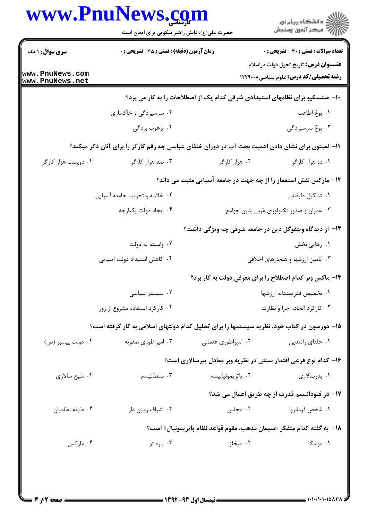|                                    | www.PnuNews.com                                                                                  |                                                                              | ڪ دانشڪاه پيا <sub>م</sub> نور<br>∕ <sup>7</sup> مرڪز آزمون وسنڊش                            |
|------------------------------------|--------------------------------------------------------------------------------------------------|------------------------------------------------------------------------------|----------------------------------------------------------------------------------------------|
|                                    | حضرت علی(ع): دانش راهبر نیکویی برای ایمان است                                                    |                                                                              |                                                                                              |
| سری سوال: ۱ یک                     | زمان آزمون (دقیقه) : تستی : 45 آتشریحی : 0                                                       |                                                                              | <b>تعداد سوالات : تستي : 30 ٪ تشريحي : 0</b>                                                 |
| www.PnuNews.com<br>www.PnuNews.net |                                                                                                  |                                                                              | <b>عنـــوان درس:</b> تاریخ تحول دولت دراسلام<br><b>رشته تحصیلی/کد درس:</b> علوم سیاسی1۲۲۹۰۰۸ |
|                                    |                                                                                                  | ∙۱- منتسکیو برای نظامهای استبدادی شرقی کدام یک از اصطلاحات را به کار می برد؟ |                                                                                              |
|                                    | ۰۲ سرسپردگی و خاکساری                                                                            |                                                                              | ٠١. يوغ اطاعت                                                                                |
|                                    | ۰۴ برهوت بردگی                                                                                   |                                                                              | ۰۳ يوغ سرسپردگي                                                                              |
|                                    | 1۱– لمپتون برای نشان دادن اهمیت بحث آب در دوران خلفای عباسی چه رقم کارگر را برای آنان ذکر میکند؟ |                                                                              |                                                                                              |
| ۰۴ دویست هزار کارگر                | ۰۳ صد هزار کارگر                                                                                 | ۰۲ هزار کارگر                                                                | ۰۱ ده هزار کارگر                                                                             |
|                                    |                                                                                                  | 1۲- مارکس نقش استعمار را از چه جهت در جامعه آسیایی مثبت می داند؟             |                                                                                              |
|                                    | ۰۲ خاتمه و تخریب جامعه آسیایی                                                                    |                                                                              | ۰۱ تشکیل طبقاتی                                                                              |
|                                    | ۰۴ ایجاد دولت یکپارچه                                                                            |                                                                              | ۰۳ عمران و صدور تکنولوژی غربی بدین جوامع                                                     |
|                                    |                                                                                                  | ۱۳- از دیدگاه ویتفوگل دین در جامعه شرقی چه ویژگی داشت؟                       |                                                                                              |
|                                    | ۰۲ وابسته به دولت                                                                                |                                                                              | ۰۱ رهایی بخش                                                                                 |
|                                    | ۰۴ کاهش استبداد دولت آسیایی                                                                      |                                                                              | ۰۳ تامین ارزشها و هنجارهای اخلاقی                                                            |
|                                    |                                                                                                  | ۱۴- ماکس وبر کدام اصطلاح را برای معرفی دولت به کار برد؟                      |                                                                                              |
|                                    | ۰۲ سیستم سیاسی                                                                                   |                                                                              | ۰۱ تخصیص قدر تمندانه ارزشها                                                                  |
|                                    | ۰۴ کار کرد استفاده مشروع از زور                                                                  |                                                                              | ۰۳ کارکرد اتخاذ، اجرا و نظارت                                                                |
|                                    | ۱۵– دورسون در کتاب خود، نظریه سیستمها را برای تحلیل کدام دولتهای اسلامی به کار گرفته است؟        |                                                                              |                                                                                              |
| ۰۴ دولت پیامبر (ص)                 | ۰۳ امپراطوری صفویه                                                                               | ۰۲ امپراطوری عثمانی                                                          | ۰۱ خلفای راشدین                                                                              |
|                                    |                                                                                                  | ۱۶– کدام نوع فرعی اقتدار سنتی در نظریه وبر معادل پیرسالاری است؟              |                                                                                              |
| ۰۴ شیخ سالاری                      | ۰۳ سلطانیسم                                                                                      | ۰۲ پاتريمونياليسم                                                            | ۰۱ پدرسالاری                                                                                 |
|                                    |                                                                                                  |                                                                              | 17- در فئودالیسم قدرت از چه طریق اعمال می شد؟                                                |
| ۰۴ طبقه نظامیان                    | ۰۳ اشراف زمین دار                                                                                | ۰۲ مجلس                                                                      | ۰۱ شخص فرمانروا                                                                              |
|                                    |                                                                                                  | 18−  به گفته کدام متفکر «سیمان مذهب، مقوم قواعد نظام پاتریمونیال» است؟       |                                                                                              |
| ۰۴ مارکس                           | ۰۳ پاره تو                                                                                       | ۰۲ میخلز                                                                     | ۰۱ موسکا                                                                                     |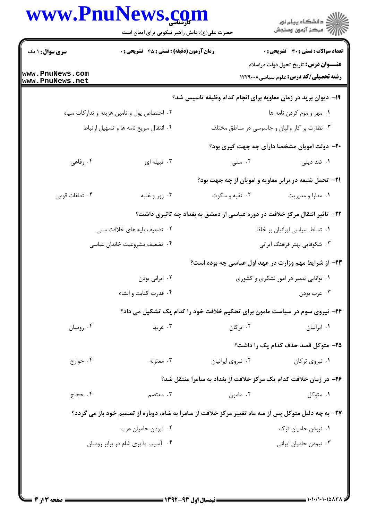| www.PnuNews.com<br>الا دانشگاه پيام نور<br>الا مرکز آزمون وسنجش<br>حضرت علی(ع): دانش راهبر نیکویی برای ایمان است |                                                                                                      |                   |                                                                                               |
|------------------------------------------------------------------------------------------------------------------|------------------------------------------------------------------------------------------------------|-------------------|-----------------------------------------------------------------------------------------------|
| <b>سری سوال : ۱ یک</b>                                                                                           | <b>زمان آزمون (دقیقه) : تستی : 45 قشریحی : 0</b>                                                     |                   | <b>تعداد سوالات : تستی : 30 ٪ تشریحی : 0</b>                                                  |
| www.PnuNews.com<br>www.PnuNews.net                                                                               |                                                                                                      |                   | <b>عنــــوان درس:</b> تاریخ تحول دولت دراسلام<br><b>رشته تحصیلی/کد درس:</b> علوم سیاسی1۲۲۹۰۰۸ |
|                                                                                                                  |                                                                                                      |                   | ۱۹- دیوان برید در زمان معاویه برای انجام کدام وظیفه تاسیس شد؟                                 |
|                                                                                                                  | ۰۲ اختصاص پول و تامین هزینه و تدارکات سپاه                                                           |                   | ٠١ مهر و موم كردن نامه ها                                                                     |
|                                                                                                                  | ۰۴ انتقال سریع نامه ها و تسهیل ارتباط                                                                |                   | ۰۳ نظارت بر کار والیان و جاسوسی در مناطق مختلف                                                |
|                                                                                                                  |                                                                                                      |                   | <b>۲۰</b> - دولت امویان مشخصا دارای چه جهت گیری بود؟                                          |
| ۰۴ رفاهی                                                                                                         | ۰۳ قبیله ای                                                                                          | ۰۲ سنی            | ۱. ضد دینی                                                                                    |
|                                                                                                                  |                                                                                                      |                   | <b>۲۱</b> - تحمل شیعه در برابر معاویه و امویان از چه جهت بود؟                                 |
| ۰۴ تعلقات قومی                                                                                                   | ۰۳ زور و غلبه                                                                                        | ۰۲ تقیه و سکوت    | ٠١ مدارا و مديريت                                                                             |
|                                                                                                                  |                                                                                                      |                   | ۲۲– تاثیر انتقال مرکز خلافت در دوره عباسی از دمشق به بغداد چه تاثیری داشت؟                    |
|                                                                                                                  | ۰۲ تضعیف پایه های خلافت سنی                                                                          |                   | ٠١ تسلط سياسي ايرانيان بر خلفا                                                                |
|                                                                                                                  | ۰۴ تضعيف مشروعيت خاندان عباسي                                                                        |                   | ۰۳ شکوفایی بهتر فرهنگ ایرانی                                                                  |
|                                                                                                                  |                                                                                                      |                   | ۲۳- از شرایط مهم وزارت در عهد اول عباسی چه بوده است؟                                          |
|                                                                                                                  | ۰۲ ایرانی بودن                                                                                       |                   | ۰۱ توانایی تدبیر در امور لشکری و کشوری                                                        |
|                                                                                                                  | ۰۴ قدرت كتابت و انشاء                                                                                |                   | ۰۳ عرب بودن                                                                                   |
|                                                                                                                  |                                                                                                      |                   | ۲۴- نیروی سوم در سیاست مامون برای تحکیم خلافت خود را کدام یک تشکیل می داد؟                    |
| ۰۴ رومیان                                                                                                        | ۰۳ عربها                                                                                             | ۰۲ ترکان          | ۰۱ ایرانیان                                                                                   |
|                                                                                                                  |                                                                                                      |                   | <b>۲۵</b> - متوکل قصد حذف کدام یک را داشت؟                                                    |
| ۰۴ خوارج                                                                                                         | ۰۳ معتزله                                                                                            | ٠٢ نيروى ايرانيان | ۰۱ نیروی ترکان                                                                                |
|                                                                                                                  |                                                                                                      |                   | ۲۶- در زمان خلافت کدام یک مرکز خلافت از بغداد به سامرا منتقل شد؟                              |
| ۰۴ حجاج                                                                                                          | ۰۳ معتصم                                                                                             | ۰۲ مامون          | ۰۱ متوکل                                                                                      |
|                                                                                                                  | ۲۷- به چه دلیل متوکل پس از سه ماه تغییر مرکز خلافت از سامرا به شام، دوباره از تصمیم خود باز می گردد؟ |                   |                                                                                               |
|                                                                                                                  | ۰۲ نبودن حامیان عرب                                                                                  |                   | ۰۱ نبودن حامیان ترک                                                                           |
| ۰۴ آسیب پذیری شام در برابر رومیان                                                                                |                                                                                                      |                   | ۰۳ نبودن حامیان ایرانی                                                                        |